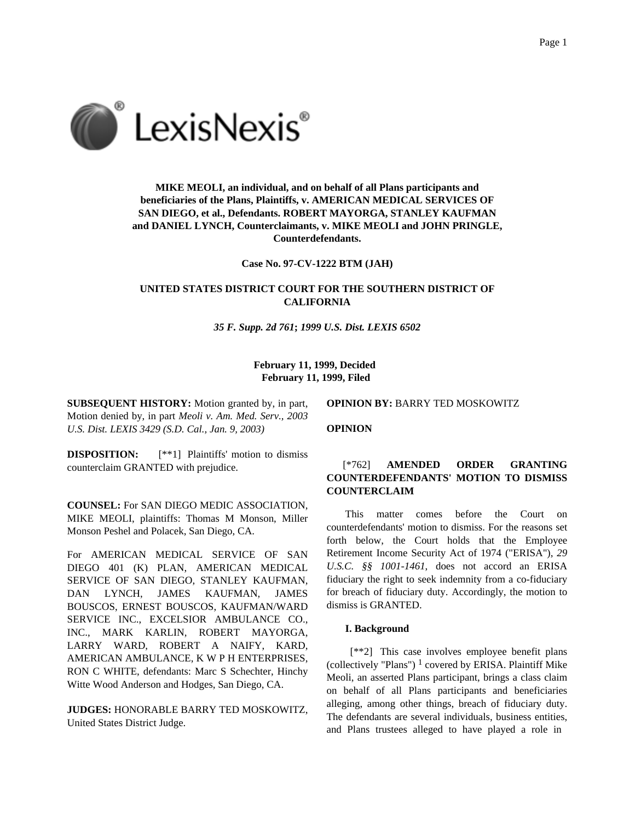

# **MIKE MEOLI, an individual, and on behalf of all Plans participants and beneficiaries of the Plans, Plaintiffs, v. AMERICAN MEDICAL SERVICES OF SAN DIEGO, et al., Defendants. ROBERT MAYORGA, STANLEY KAUFMAN and DANIEL LYNCH, Counterclaimants, v. MIKE MEOLI and JOHN PRINGLE, Counterdefendants.**

**Case No. 97-CV-1222 BTM (JAH)**

# **UNITED STATES DISTRICT COURT FOR THE SOUTHERN DISTRICT OF CALIFORNIA**

*35 F. Supp. 2d 761***;** *1999 U.S. Dist. LEXIS 6502*

## **February 11, 1999, Decided February 11, 1999, Filed**

**SUBSEQUENT HISTORY:** Motion granted by, in part, Motion denied by, in part *Meoli v. Am. Med. Serv., 2003 U.S. Dist. LEXIS 3429 (S.D. Cal., Jan. 9, 2003)*

**DISPOSITION:**  $[**1]$  Plaintiffs' motion to dismiss counterclaim GRANTED with prejudice.

**COUNSEL:** For SAN DIEGO MEDIC ASSOCIATION, MIKE MEOLI, plaintiffs: Thomas M Monson, Miller Monson Peshel and Polacek, San Diego, CA.

For AMERICAN MEDICAL SERVICE OF SAN DIEGO 401 (K) PLAN, AMERICAN MEDICAL SERVICE OF SAN DIEGO, STANLEY KAUFMAN, DAN LYNCH, JAMES KAUFMAN, JAMES BOUSCOS, ERNEST BOUSCOS, KAUFMAN/WARD SERVICE INC., EXCELSIOR AMBULANCE CO., INC., MARK KARLIN, ROBERT MAYORGA, LARRY WARD, ROBERT A NAIFY, KARD, AMERICAN AMBULANCE, K W P H ENTERPRISES, RON C WHITE, defendants: Marc S Schechter, Hinchy Witte Wood Anderson and Hodges, San Diego, CA.

**JUDGES:** HONORABLE BARRY TED MOSKOWITZ, United States District Judge.

**OPINION BY:** BARRY TED MOSKOWITZ

**OPINION**

## [\*762] **AMENDED ORDER GRANTING COUNTERDEFENDANTS' MOTION TO DISMISS COUNTERCLAIM**

This matter comes before the Court on counterdefendants' motion to dismiss. For the reasons set forth below, the Court holds that the Employee Retirement Income Security Act of 1974 ("ERISA"), *29 U.S.C. §§ 1001-1461*, does not accord an ERISA fiduciary the right to seek indemnity from a co-fiduciary for breach of fiduciary duty. Accordingly, the motion to dismiss is GRANTED.

### **I. Background**

[\*\*2] This case involves employee benefit plans (collectively "Plans")  $<sup>1</sup>$  covered by ERISA. Plaintiff Mike</sup> Meoli, an asserted Plans participant, brings a class claim on behalf of all Plans participants and beneficiaries alleging, among other things, breach of fiduciary duty. The defendants are several individuals, business entities, and Plans trustees alleged to have played a role in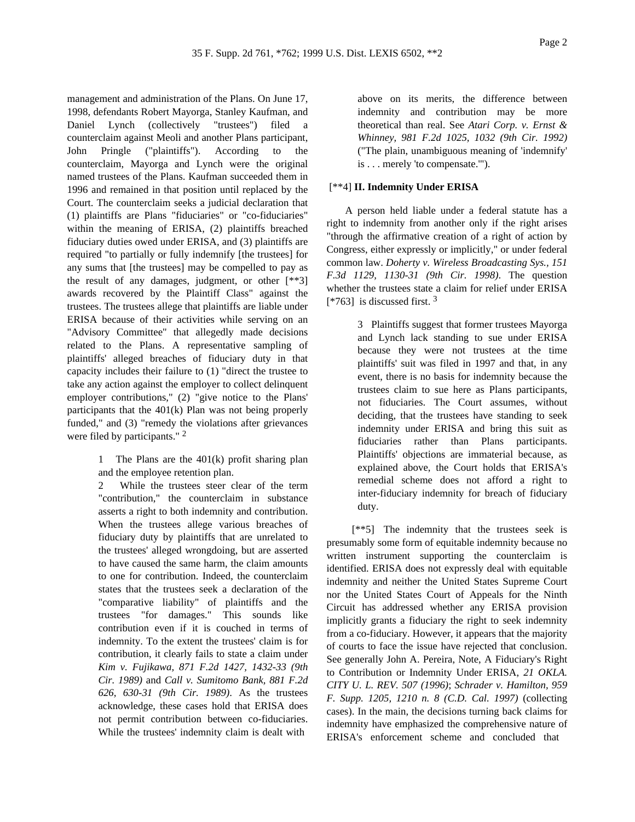management and administration of the Plans. On June 17, 1998, defendants Robert Mayorga, Stanley Kaufman, and Daniel Lynch (collectively "trustees") filed a counterclaim against Meoli and another Plans participant, John Pringle ("plaintiffs"). According to the counterclaim, Mayorga and Lynch were the original named trustees of the Plans. Kaufman succeeded them in 1996 and remained in that position until replaced by the Court. The counterclaim seeks a judicial declaration that (1) plaintiffs are Plans "fiduciaries" or "co-fiduciaries" within the meaning of ERISA, (2) plaintiffs breached fiduciary duties owed under ERISA, and (3) plaintiffs are required "to partially or fully indemnify [the trustees] for any sums that [the trustees] may be compelled to pay as the result of any damages, judgment, or other [\*\*3] awards recovered by the Plaintiff Class" against the trustees. The trustees allege that plaintiffs are liable under ERISA because of their activities while serving on an "Advisory Committee" that allegedly made decisions related to the Plans. A representative sampling of plaintiffs' alleged breaches of fiduciary duty in that capacity includes their failure to (1) "direct the trustee to take any action against the employer to collect delinquent employer contributions," (2) "give notice to the Plans' participants that the 401(k) Plan was not being properly funded," and (3) "remedy the violations after grievances were filed by participants." <sup>2</sup>

> 1 The Plans are the 401(k) profit sharing plan and the employee retention plan.

2 While the trustees steer clear of the term "contribution," the counterclaim in substance asserts a right to both indemnity and contribution. When the trustees allege various breaches of fiduciary duty by plaintiffs that are unrelated to the trustees' alleged wrongdoing, but are asserted to have caused the same harm, the claim amounts to one for contribution. Indeed, the counterclaim states that the trustees seek a declaration of the "comparative liability" of plaintiffs and the trustees "for damages." This sounds like contribution even if it is couched in terms of indemnity. To the extent the trustees' claim is for contribution, it clearly fails to state a claim under *Kim v. Fujikawa, 871 F.2d 1427, 1432-33 (9th Cir. 1989)* and *Call v. Sumitomo Bank, 881 F.2d 626, 630-31 (9th Cir. 1989)*. As the trustees acknowledge, these cases hold that ERISA does not permit contribution between co-fiduciaries. While the trustees' indemnity claim is dealt with

above on its merits, the difference between indemnity and contribution may be more theoretical than real. See *Atari Corp. v. Ernst & Whinney, 981 F.2d 1025, 1032 (9th Cir. 1992)* ("The plain, unambiguous meaning of 'indemnify' is . . . merely 'to compensate.'").

### [\*\*4] **II. Indemnity Under ERISA**

A person held liable under a federal statute has a right to indemnity from another only if the right arises "through the affirmative creation of a right of action by Congress, either expressly or implicitly," or under federal common law. *Doherty v. Wireless Broadcasting Sys., 151 F.3d 1129, 1130-31 (9th Cir. 1998)*. The question whether the trustees state a claim for relief under ERISA  $[*763]$  is discussed first. <sup>3</sup>

> 3 Plaintiffs suggest that former trustees Mayorga and Lynch lack standing to sue under ERISA because they were not trustees at the time plaintiffs' suit was filed in 1997 and that, in any event, there is no basis for indemnity because the trustees claim to sue here as Plans participants, not fiduciaries. The Court assumes, without deciding, that the trustees have standing to seek indemnity under ERISA and bring this suit as fiduciaries rather than Plans participants. Plaintiffs' objections are immaterial because, as explained above, the Court holds that ERISA's remedial scheme does not afford a right to inter-fiduciary indemnity for breach of fiduciary duty.

[\*\*5] The indemnity that the trustees seek is presumably some form of equitable indemnity because no written instrument supporting the counterclaim is identified. ERISA does not expressly deal with equitable indemnity and neither the United States Supreme Court nor the United States Court of Appeals for the Ninth Circuit has addressed whether any ERISA provision implicitly grants a fiduciary the right to seek indemnity from a co-fiduciary. However, it appears that the majority of courts to face the issue have rejected that conclusion. See generally John A. Pereira, Note, A Fiduciary's Right to Contribution or Indemnity Under ERISA, *21 OKLA. CITY U. L. REV. 507 (1996)*; *Schrader v. Hamilton, 959 F. Supp. 1205, 1210 n. 8 (C.D. Cal. 1997)* (collecting cases). In the main, the decisions turning back claims for indemnity have emphasized the comprehensive nature of ERISA's enforcement scheme and concluded that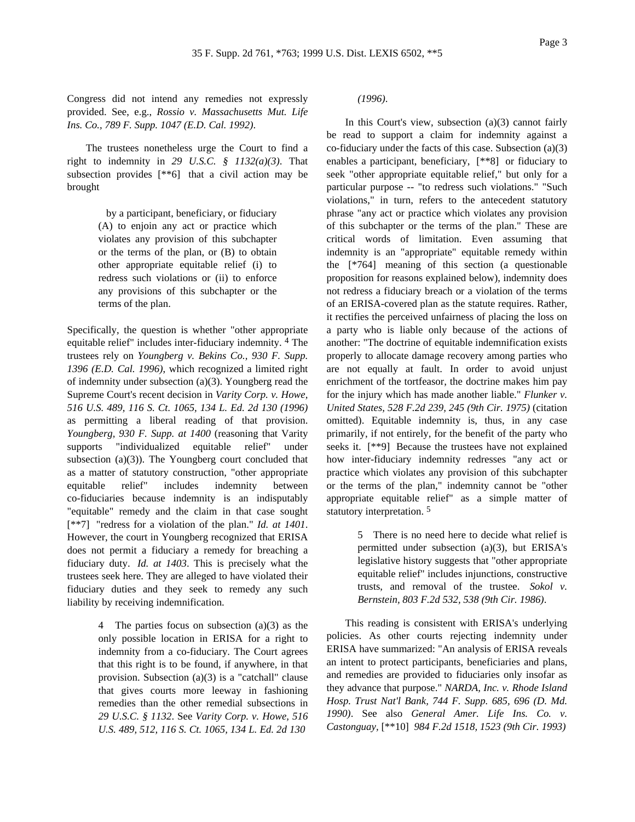Congress did not intend any remedies not expressly provided. See, e.g., *Rossio v. Massachusetts Mut. Life Ins. Co., 789 F. Supp. 1047 (E.D. Cal. 1992)*.

The trustees nonetheless urge the Court to find a right to indemnity in *29 U.S.C. § 1132(a)(3)*. That subsection provides [\*\*6] that a civil action may be brought

> by a participant, beneficiary, or fiduciary (A) to enjoin any act or practice which violates any provision of this subchapter or the terms of the plan, or (B) to obtain other appropriate equitable relief (i) to redress such violations or (ii) to enforce any provisions of this subchapter or the terms of the plan.

Specifically, the question is whether "other appropriate equitable relief" includes inter-fiduciary indemnity. 4 The trustees rely on *Youngberg v. Bekins Co., 930 F. Supp. 1396 (E.D. Cal. 1996)*, which recognized a limited right of indemnity under subsection (a)(3). Youngberg read the Supreme Court's recent decision in *Varity Corp. v. Howe, 516 U.S. 489, 116 S. Ct. 1065, 134 L. Ed. 2d 130 (1996)* as permitting a liberal reading of that provision. *Youngberg, 930 F. Supp. at 1400* (reasoning that Varity supports "individualized equitable relief" under subsection (a)(3)). The Youngberg court concluded that as a matter of statutory construction, "other appropriate equitable relief" includes indemnity between co-fiduciaries because indemnity is an indisputably "equitable" remedy and the claim in that case sought [\*\*7] "redress for a violation of the plan." *Id. at 1401*. However, the court in Youngberg recognized that ERISA does not permit a fiduciary a remedy for breaching a fiduciary duty. *Id. at 1403*. This is precisely what the trustees seek here. They are alleged to have violated their fiduciary duties and they seek to remedy any such liability by receiving indemnification.

> 4 The parties focus on subsection (a)(3) as the only possible location in ERISA for a right to indemnity from a co-fiduciary. The Court agrees that this right is to be found, if anywhere, in that provision. Subsection (a)(3) is a "catchall" clause that gives courts more leeway in fashioning remedies than the other remedial subsections in *29 U.S.C. § 1132*. See *Varity Corp. v. Howe, 516 U.S. 489, 512, 116 S. Ct. 1065, 134 L. Ed. 2d 130*

*(1996)*.

In this Court's view, subsection (a)(3) cannot fairly be read to support a claim for indemnity against a co-fiduciary under the facts of this case. Subsection (a)(3) enables a participant, beneficiary, [\*\*8] or fiduciary to seek "other appropriate equitable relief," but only for a particular purpose -- "to redress such violations." "Such violations," in turn, refers to the antecedent statutory phrase "any act or practice which violates any provision of this subchapter or the terms of the plan." These are critical words of limitation. Even assuming that indemnity is an "appropriate" equitable remedy within the [\*764] meaning of this section (a questionable proposition for reasons explained below), indemnity does not redress a fiduciary breach or a violation of the terms of an ERISA-covered plan as the statute requires. Rather, it rectifies the perceived unfairness of placing the loss on a party who is liable only because of the actions of another: "The doctrine of equitable indemnification exists properly to allocate damage recovery among parties who are not equally at fault. In order to avoid unjust enrichment of the tortfeasor, the doctrine makes him pay for the injury which has made another liable." *Flunker v. United States, 528 F.2d 239, 245 (9th Cir. 1975)* (citation omitted). Equitable indemnity is, thus, in any case primarily, if not entirely, for the benefit of the party who seeks it. [\*\*9] Because the trustees have not explained how inter-fiduciary indemnity redresses "any act or practice which violates any provision of this subchapter or the terms of the plan," indemnity cannot be "other appropriate equitable relief" as a simple matter of statutory interpretation. 5

> 5 There is no need here to decide what relief is permitted under subsection (a)(3), but ERISA's legislative history suggests that "other appropriate equitable relief" includes injunctions, constructive trusts, and removal of the trustee. *Sokol v. Bernstein, 803 F.2d 532, 538 (9th Cir. 1986)*.

This reading is consistent with ERISA's underlying policies. As other courts rejecting indemnity under ERISA have summarized: "An analysis of ERISA reveals an intent to protect participants, beneficiaries and plans, and remedies are provided to fiduciaries only insofar as they advance that purpose." *NARDA, Inc. v. Rhode Island Hosp. Trust Nat'l Bank, 744 F. Supp. 685, 696 (D. Md. 1990)*. See also *General Amer. Life Ins. Co. v. Castonguay,* [\*\*10] *984 F.2d 1518, 1523 (9th Cir. 1993)*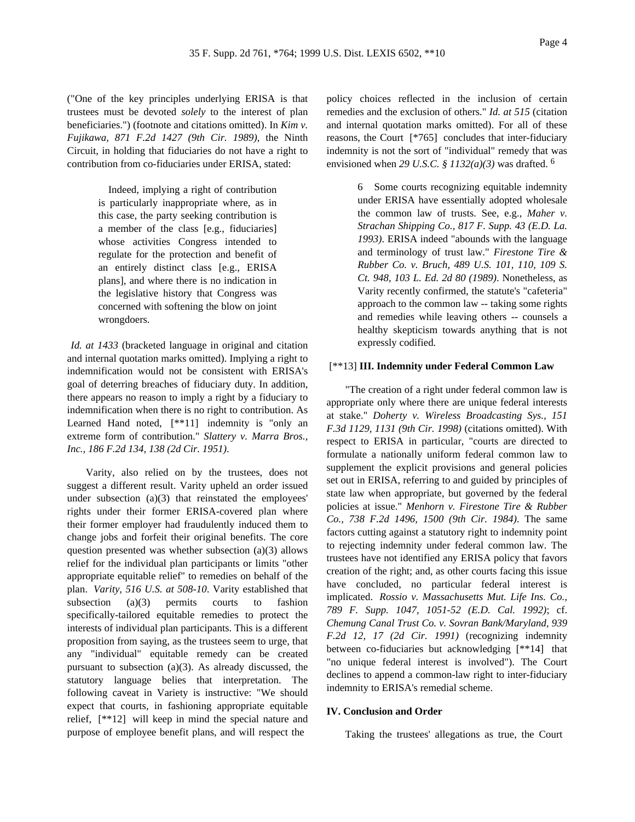("One of the key principles underlying ERISA is that trustees must be devoted *solely* to the interest of plan beneficiaries.") (footnote and citations omitted). In *Kim v. Fujikawa, 871 F.2d 1427 (9th Cir. 1989)*, the Ninth Circuit, in holding that fiduciaries do not have a right to contribution from co-fiduciaries under ERISA, stated:

> Indeed, implying a right of contribution is particularly inappropriate where, as in this case, the party seeking contribution is a member of the class [e.g., fiduciaries] whose activities Congress intended to regulate for the protection and benefit of an entirely distinct class [e.g., ERISA plans], and where there is no indication in the legislative history that Congress was concerned with softening the blow on joint wrongdoers.

*Id. at 1433* (bracketed language in original and citation and internal quotation marks omitted). Implying a right to indemnification would not be consistent with ERISA's goal of deterring breaches of fiduciary duty. In addition, there appears no reason to imply a right by a fiduciary to indemnification when there is no right to contribution. As Learned Hand noted,  $[**11]$  indemnity is "only an extreme form of contribution." *Slattery v. Marra Bros., Inc., 186 F.2d 134, 138 (2d Cir. 1951)*.

Varity, also relied on by the trustees, does not suggest a different result. Varity upheld an order issued under subsection (a)(3) that reinstated the employees' rights under their former ERISA-covered plan where their former employer had fraudulently induced them to change jobs and forfeit their original benefits. The core question presented was whether subsection (a)(3) allows relief for the individual plan participants or limits "other appropriate equitable relief" to remedies on behalf of the plan. *Varity, 516 U.S. at 508-10*. Varity established that subsection (a)(3) permits courts to fashion specifically-tailored equitable remedies to protect the interests of individual plan participants. This is a different proposition from saying, as the trustees seem to urge, that any "individual" equitable remedy can be created pursuant to subsection (a)(3). As already discussed, the statutory language belies that interpretation. The following caveat in Variety is instructive: "We should expect that courts, in fashioning appropriate equitable relief, [\*\*12] will keep in mind the special nature and purpose of employee benefit plans, and will respect the

policy choices reflected in the inclusion of certain remedies and the exclusion of others." *Id. at 515* (citation and internal quotation marks omitted). For all of these reasons, the Court [\*765] concludes that inter-fiduciary indemnity is not the sort of "individual" remedy that was envisioned when *29 U.S.C. § 1132(a)(3)* was drafted. 6

> 6 Some courts recognizing equitable indemnity under ERISA have essentially adopted wholesale the common law of trusts. See, e.g., *Maher v. Strachan Shipping Co., 817 F. Supp. 43 (E.D. La. 1993)*. ERISA indeed "abounds with the language and terminology of trust law." *Firestone Tire & Rubber Co. v. Bruch, 489 U.S. 101, 110, 109 S. Ct. 948, 103 L. Ed. 2d 80 (1989)*. Nonetheless, as Varity recently confirmed, the statute's "cafeteria" approach to the common law -- taking some rights and remedies while leaving others -- counsels a healthy skepticism towards anything that is not expressly codified.

### [\*\*13] **III. Indemnity under Federal Common Law**

"The creation of a right under federal common law is appropriate only where there are unique federal interests at stake." *Doherty v. Wireless Broadcasting Sys., 151 F.3d 1129, 1131 (9th Cir. 1998)* (citations omitted). With respect to ERISA in particular, "courts are directed to formulate a nationally uniform federal common law to supplement the explicit provisions and general policies set out in ERISA, referring to and guided by principles of state law when appropriate, but governed by the federal policies at issue." *Menhorn v. Firestone Tire & Rubber Co., 738 F.2d 1496, 1500 (9th Cir. 1984)*. The same factors cutting against a statutory right to indemnity point to rejecting indemnity under federal common law. The trustees have not identified any ERISA policy that favors creation of the right; and, as other courts facing this issue have concluded, no particular federal interest is implicated. *Rossio v. Massachusetts Mut. Life Ins. Co., 789 F. Supp. 1047, 1051-52 (E.D. Cal. 1992)*; cf. *Chemung Canal Trust Co. v. Sovran Bank/Maryland, 939 F.2d 12, 17 (2d Cir. 1991)* (recognizing indemnity between co-fiduciaries but acknowledging [\*\*14] that "no unique federal interest is involved"). The Court declines to append a common-law right to inter-fiduciary indemnity to ERISA's remedial scheme.

### **IV. Conclusion and Order**

Taking the trustees' allegations as true, the Court